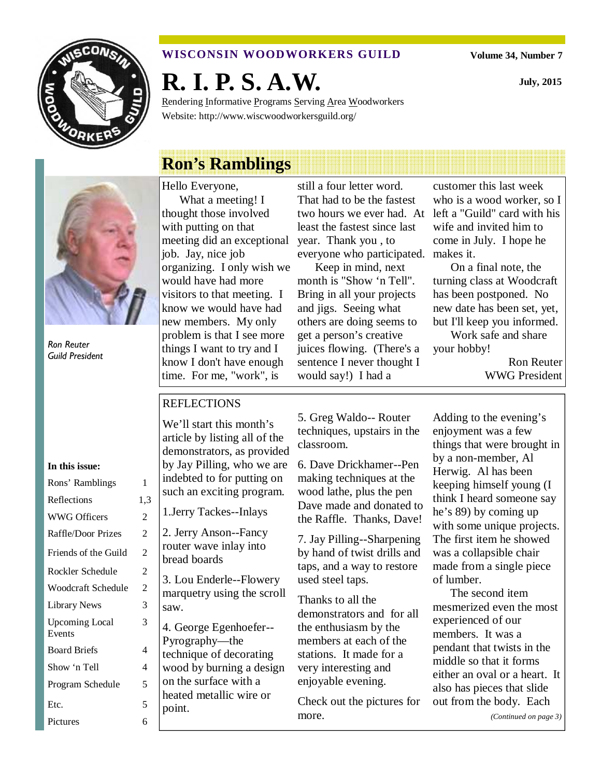

## **WISCONSIN WOODWORKERS GUILD**

**Volume 34, Number 7** 

**July, 2015** 

**R. I. P. S. A.W.** 

Rendering Informative Programs Serving Area Woodworkers Website: http://www.wiscwoodworkersguild.org/

Ron Reuter Guild President

#### **In this issue:**

| Rons' Ramblings                 | 1   |
|---------------------------------|-----|
| Reflections                     | 1,3 |
| <b>WWG Officers</b>             | 2   |
| Raffle/Door Prizes              | 2   |
| Friends of the Guild            | 2   |
| Rockler Schedule                | 2   |
| Woodcraft Schedule              | 2   |
| Library News                    | 3   |
| <b>Upcoming Local</b><br>Events | 3   |
| <b>Board Briefs</b>             | 4   |
| Show 'n Tell                    | 4   |
| Program Schedule                | 5   |
| Etc.                            | 5   |
| Pictures                        | 6   |

# **Ron's Ramblings**

Hello Everyone, What a meeting! I thought those involved with putting on that meeting did an exceptional job. Jay, nice job organizing. I only wish we would have had more visitors to that meeting. I know we would have had new members. My only problem is that I see more things I want to try and I know I don't have enough time. For me, "work", is

still a four letter word. That had to be the fastest two hours we ever had. At least the fastest since last year. Thank you , to everyone who participated. makes it.

Keep in mind, next month is "Show 'n Tell". Bring in all your projects and jigs. Seeing what others are doing seems to get a person's creative juices flowing. (There's a sentence I never thought I would say!) I had a

customer this last week who is a wood worker, so I left a "Guild" card with his wife and invited him to come in July. I hope he

On a final note, the turning class at Woodcraft has been postponed. No new date has been set, yet, but I'll keep you informed.

Work safe and share your hobby!

> Ron Reuter WWG President

## REFLECTIONS

We'll start this month's article by listing all of the demonstrators, as provided by Jay Pilling, who we are indebted to for putting on such an exciting program.

1.Jerry Tackes--Inlays

2. Jerry Anson--Fancy router wave inlay into bread boards

3. Lou Enderle--Flowery marquetry using the scroll saw.

4. George Egenhoefer-- Pyrography—the technique of decorating wood by burning a design on the surface with a heated metallic wire or point.

5. Greg Waldo-- Router techniques, upstairs in the classroom.

6. Dave Drickhamer--Pen making techniques at the wood lathe, plus the pen Dave made and donated to the Raffle. Thanks, Dave!

7. Jay Pilling--Sharpening by hand of twist drills and taps, and a way to restore used steel taps.

Thanks to all the demonstrators and for all the enthusiasm by the members at each of the stations. It made for a very interesting and enjoyable evening.

Check out the pictures for more.

Adding to the evening's enjoyment was a few things that were brought in by a non-member, Al Herwig. Al has been keeping himself young (I think I heard someone say he's 89) by coming up with some unique projects. The first item he showed was a collapsible chair made from a single piece of lumber.

The second item mesmerized even the most experienced of our members. It was a pendant that twists in the middle so that it forms either an oval or a heart. It also has pieces that slide out from the body. Each

*(Continued on page 3)*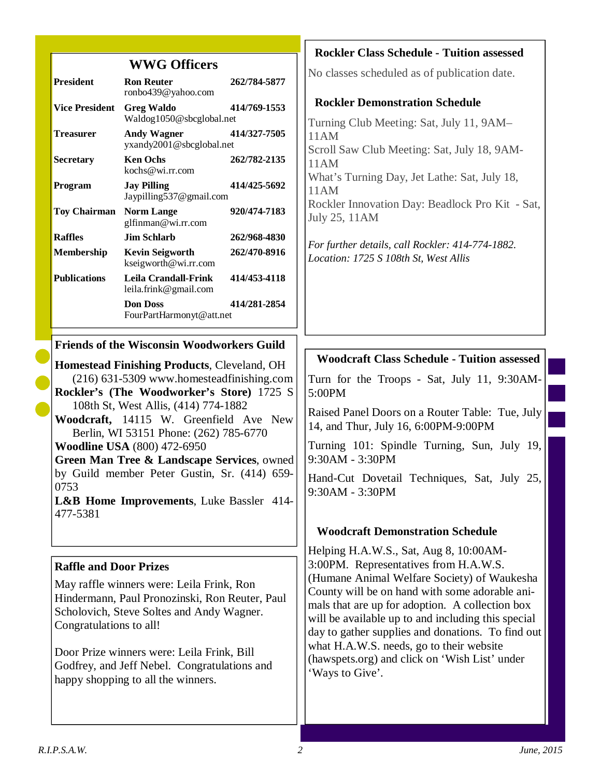| <b>WWG Officers</b>                                                                                                                                                                                                                                                                                                                                                                                                    |                                                                |              | <b>Rockler Class Schedule - Tuition assessed</b>                                                                                                                                                                                                            |  |
|------------------------------------------------------------------------------------------------------------------------------------------------------------------------------------------------------------------------------------------------------------------------------------------------------------------------------------------------------------------------------------------------------------------------|----------------------------------------------------------------|--------------|-------------------------------------------------------------------------------------------------------------------------------------------------------------------------------------------------------------------------------------------------------------|--|
| <b>President</b>                                                                                                                                                                                                                                                                                                                                                                                                       | <b>Ron Reuter</b><br>ronbo439@yahoo.com                        | 262/784-5877 | No classes scheduled as of publication date.                                                                                                                                                                                                                |  |
| <b>Vice President</b>                                                                                                                                                                                                                                                                                                                                                                                                  | <b>Greg Waldo</b><br>Waldog1050@sbcglobal.net                  | 414/769-1553 | <b>Rockler Demonstration Schedule</b><br>Turning Club Meeting: Sat, July 11, 9AM-                                                                                                                                                                           |  |
| <b>Treasurer</b>                                                                                                                                                                                                                                                                                                                                                                                                       | <b>Andy Wagner</b><br>414/327-7505<br>yxandy2001@sbcglobal.net |              | 11AM<br>Scroll Saw Club Meeting: Sat, July 18, 9AM-                                                                                                                                                                                                         |  |
| <b>Secretary</b>                                                                                                                                                                                                                                                                                                                                                                                                       | <b>Ken Ochs</b><br>kochs@wi.rr.com                             | 262/782-2135 | 11AM<br>What's Turning Day, Jet Lathe: Sat, July 18,                                                                                                                                                                                                        |  |
| Program                                                                                                                                                                                                                                                                                                                                                                                                                | <b>Jay Pilling</b><br>414/425-5692<br>Jaypilling537@gmail.com  |              | 11AM                                                                                                                                                                                                                                                        |  |
| <b>Toy Chairman</b>                                                                                                                                                                                                                                                                                                                                                                                                    | <b>Norm Lange</b><br>glfinman@wi.rr.com                        | 920/474-7183 | Rockler Innovation Day: Beadlock Pro Kit - Sat,<br>July 25, 11AM                                                                                                                                                                                            |  |
| <b>Raffles</b>                                                                                                                                                                                                                                                                                                                                                                                                         | <b>Jim Schlarb</b>                                             | 262/968-4830 | For further details, call Rockler: 414-774-1882.                                                                                                                                                                                                            |  |
| Membership                                                                                                                                                                                                                                                                                                                                                                                                             | <b>Kevin Seigworth</b><br>kseigworth@wi.rr.com                 | 262/470-8916 | Location: 1725 S 108th St, West Allis                                                                                                                                                                                                                       |  |
| <b>Publications</b>                                                                                                                                                                                                                                                                                                                                                                                                    | <b>Leila Crandall-Frink</b><br>leila.frink@gmail.com           | 414/453-4118 |                                                                                                                                                                                                                                                             |  |
|                                                                                                                                                                                                                                                                                                                                                                                                                        | <b>Don Doss</b><br>FourPartHarmonyt@att.net                    | 414/281-2854 |                                                                                                                                                                                                                                                             |  |
|                                                                                                                                                                                                                                                                                                                                                                                                                        | <b>Friends of the Wisconsin Woodworkers Guild</b>              |              |                                                                                                                                                                                                                                                             |  |
| <b>Homestead Finishing Products, Cleveland, OH</b>                                                                                                                                                                                                                                                                                                                                                                     |                                                                |              | <b>Woodcraft Class Schedule - Tuition assessed</b>                                                                                                                                                                                                          |  |
| (216) 631-5309 www.homesteadfinishing.com<br>Rockler's (The Woodworker's Store) 1725 S<br>108th St, West Allis, (414) 774-1882<br>Woodcraft, 14115 W. Greenfield Ave New<br>Berlin, WI 53151 Phone: (262) 785-6770<br><b>Woodline USA</b> (800) 472-6950<br>Green Man Tree & Landscape Services, owned<br>by Guild member Peter Gustin, Sr. (414) 659-<br>0753<br>L&B Home Improvements, Luke Bassler 414-<br>477-5381 |                                                                |              | Turn for the Troops - Sat, July 11, 9:30AM-<br>5:00PM                                                                                                                                                                                                       |  |
|                                                                                                                                                                                                                                                                                                                                                                                                                        |                                                                |              | Raised Panel Doors on a Router Table: Tue, July<br>14, and Thur, July 16, 6:00PM-9:00PM                                                                                                                                                                     |  |
|                                                                                                                                                                                                                                                                                                                                                                                                                        |                                                                |              | Turning 101: Spindle Turning, Sun, July 19,<br>9:30AM - 3:30PM                                                                                                                                                                                              |  |
|                                                                                                                                                                                                                                                                                                                                                                                                                        |                                                                |              | Hand-Cut Dovetail Techniques, Sat, July 25,<br>9:30AM - 3:30PM                                                                                                                                                                                              |  |
|                                                                                                                                                                                                                                                                                                                                                                                                                        |                                                                |              | <b>Woodcraft Demonstration Schedule</b>                                                                                                                                                                                                                     |  |
|                                                                                                                                                                                                                                                                                                                                                                                                                        |                                                                |              | Helping H.A.W.S., Sat, Aug 8, 10:00AM-                                                                                                                                                                                                                      |  |
| <b>Raffle and Door Prizes</b>                                                                                                                                                                                                                                                                                                                                                                                          |                                                                |              | 3:00PM. Representatives from H.A.W.S.                                                                                                                                                                                                                       |  |
| May raffle winners were: Leila Frink, Ron<br>Hindermann, Paul Pronozinski, Ron Reuter, Paul<br>Scholovich, Steve Soltes and Andy Wagner.<br>Congratulations to all!<br>Door Prize winners were: Leila Frink, Bill<br>Godfrey, and Jeff Nebel. Congratulations and<br>happy shopping to all the winners.                                                                                                                |                                                                |              | (Humane Animal Welfare Society) of Waukesha<br>County will be on hand with some adorable ani-<br>mals that are up for adoption. A collection box<br>will be available up to and including this special<br>day to gather supplies and donations. To find out |  |
|                                                                                                                                                                                                                                                                                                                                                                                                                        |                                                                |              | what H.A.W.S. needs, go to their website<br>(hawspets.org) and click on 'Wish List' under<br>'Ways to Give'.                                                                                                                                                |  |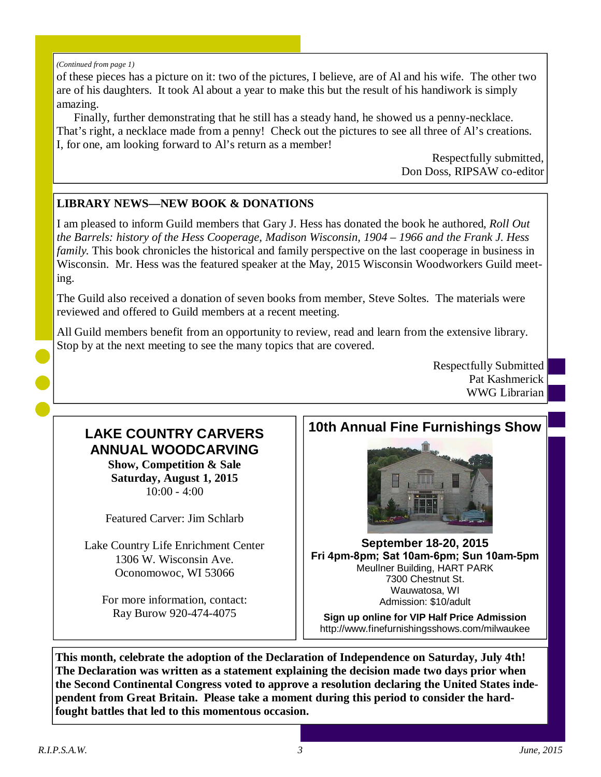#### *(Continued from page 1)*

of these pieces has a picture on it: two of the pictures, I believe, are of Al and his wife. The other two are of his daughters. It took Al about a year to make this but the result of his handiwork is simply amazing.

Finally, further demonstrating that he still has a steady hand, he showed us a penny-necklace. That's right, a necklace made from a penny! Check out the pictures to see all three of Al's creations. I, for one, am looking forward to Al's return as a member!

> Respectfully submitted, Don Doss, RIPSAW co-editor

## **LIBRARY NEWS—NEW BOOK & DONATIONS**

I am pleased to inform Guild members that Gary J. Hess has donated the book he authored, *Roll Out the Barrels: history of the Hess Cooperage, Madison Wisconsin, 1904 – 1966 and the Frank J. Hess family*. This book chronicles the historical and family perspective on the last cooperage in business in Wisconsin. Mr. Hess was the featured speaker at the May, 2015 Wisconsin Woodworkers Guild meeting.

The Guild also received a donation of seven books from member, Steve Soltes. The materials were reviewed and offered to Guild members at a recent meeting.

All Guild members benefit from an opportunity to review, read and learn from the extensive library. Stop by at the next meeting to see the many topics that are covered.

> Respectfully Submitted Pat Kashmerick WWG Librarian

## **LAKE COUNTRY CARVERS ANNUAL WOODCARVING**

**Show, Competition & Sale Saturday, August 1, 2015**   $10:00 - 4:00$ 

Featured Carver: Jim Schlarb

Lake Country Life Enrichment Center 1306 W. Wisconsin Ave. Oconomowoc, WI 53066

For more information, contact: Ray Burow 920-474-4075

## **10th Annual Fine Furnishings Show**



**September 18-20, 2015 Fri 4pm-**8pm; Sat 10am**-**6pm; Sun 10am**-5pm**  Meullner Building, HART PARK 7300 Chestnut St. Wauwatosa, WI Admission: \$10/adult

**Sign up online for VIP Half Price Admission**  http://www.finefurnishingsshows.com/milwaukee

**This month, celebrate the adoption of the Declaration of Independence on Saturday, July 4th! The Declaration was written as a statement explaining the decision made two days prior when the Second Continental Congress voted to approve a resolution declaring the United States independent from Great Britain. Please take a moment during this period to consider the hardfought battles that led to this momentous occasion.**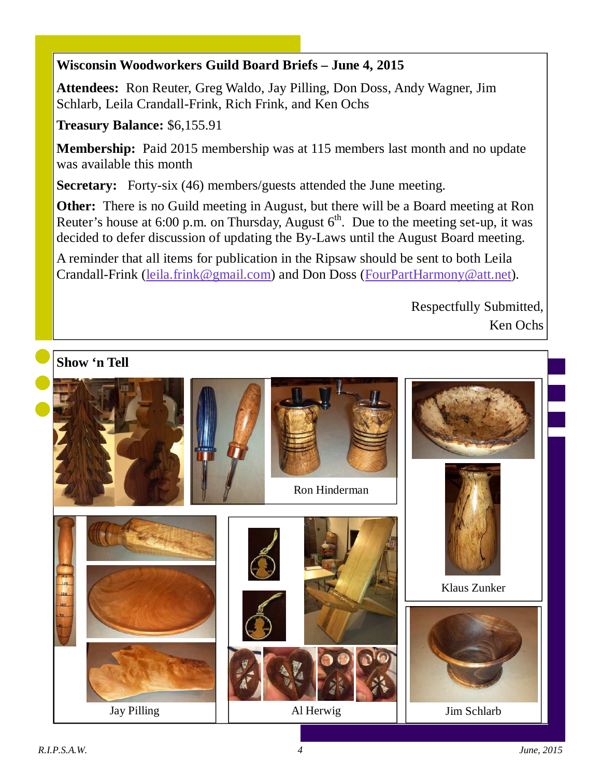## **Wisconsin Woodworkers Guild Board Briefs – June 4, 2015**

**Attendees:** Ron Reuter, Greg Waldo, Jay Pilling, Don Doss, Andy Wagner, Jim Schlarb, Leila Crandall-Frink, Rich Frink, and Ken Ochs

**Treasury Balance:** \$6,155.91

**Membership:** Paid 2015 membership was at 115 members last month and no update was available this month

**Secretary:** Forty-six (46) members/guests attended the June meeting.

**Other:** There is no Guild meeting in August, but there will be a Board meeting at Ron Reuter's house at 6:00 p.m. on Thursday, August  $6<sup>th</sup>$ . Due to the meeting set-up, it was decided to defer discussion of updating the By-Laws until the August Board meeting.

A reminder that all items for publication in the Ripsaw should be sent to both Leila Crandall-Frink (leila.frink@gmail.com) and Don Doss (FourPartHarmony@att.net).

> Respectfully Submitted, Ken Ochs

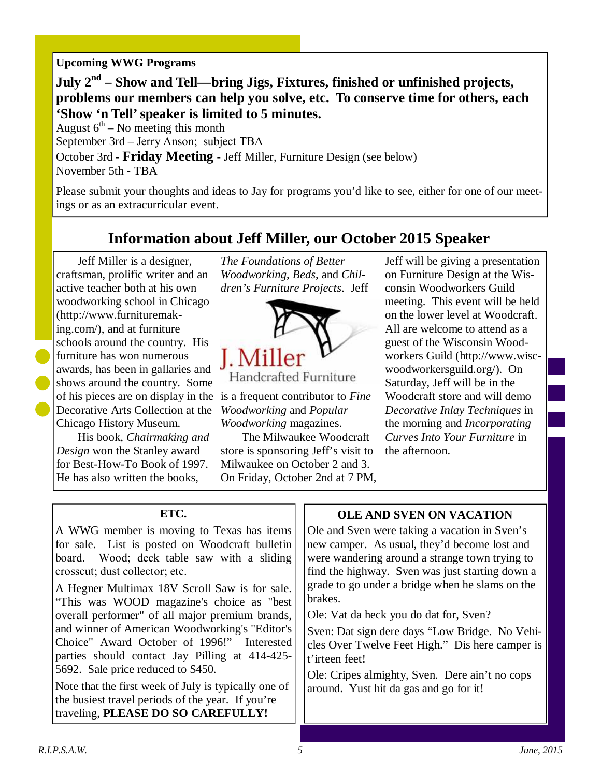#### **Upcoming WWG Programs**

**July 2nd – Show and Tell—bring Jigs, Fixtures, finished or unfinished projects, problems our members can help you solve, etc. To conserve time for others, each 'Show 'n Tell' speaker is limited to 5 minutes.** 

August  $6<sup>th</sup>$  – No meeting this month September 3rd – Jerry Anson; subject TBA October 3rd - **Friday Meeting** - Jeff Miller, Furniture Design (see below) November 5th - TBA

Please submit your thoughts and ideas to Jay for programs you'd like to see, either for one of our meetings or as an extracurricular event.

## **Information about Jeff Miller, our October 2015 Speaker**

Jeff Miller is a designer, craftsman, prolific writer and an active teacher both at his own woodworking school in Chicago (http://www.furnituremaking.com/), and at furniture schools around the country. His furniture has won numerous awards, has been in gallaries and shows around the country. Some of his pieces are on display in the is a frequent contributor to *Fine*  Decorative Arts Collection at the Chicago History Museum.

His book, *Chairmaking and Design* won the Stanley award for Best-How-To Book of 1997. He has also written the books,

*The Foundations of Better Woodworking*, *Beds*, and *Children's Furniture Projects*. Jeff



Handcrafted Furniture

*Woodworking* and *Popular Woodworking* magazines.

The Milwaukee Woodcraft store is sponsoring Jeff's visit to Milwaukee on October 2 and 3. On Friday, October 2nd at 7 PM, Jeff will be giving a presentation on Furniture Design at the Wisconsin Woodworkers Guild meeting. This event will be held on the lower level at Woodcraft. All are welcome to attend as a guest of the Wisconsin Woodworkers Guild (http://www.wiscwoodworkersguild.org/). On Saturday, Jeff will be in the Woodcraft store and will demo *Decorative Inlay Techniques* in the morning and *Incorporating Curves Into Your Furniture* in the afternoon.

#### **ETC.**

A WWG member is moving to Texas has items for sale. List is posted on Woodcraft bulletin board. Wood; deck table saw with a sliding crosscut; dust collector; etc.

A Hegner Multimax 18V Scroll Saw is for sale. "This was WOOD magazine's choice as "best overall performer" of all major premium brands, and winner of American Woodworking's "Editor's Choice" Award October of 1996!" Interested parties should contact Jay Pilling at 414-425- 5692. Sale price reduced to \$450.

Note that the first week of July is typically one of the busiest travel periods of the year. If you're traveling, **PLEASE DO SO CAREFULLY!**

## **OLE AND SVEN ON VACATION**

Ole and Sven were taking a vacation in Sven's new camper. As usual, they'd become lost and were wandering around a strange town trying to find the highway. Sven was just starting down a grade to go under a bridge when he slams on the brakes.

Ole: Vat da heck you do dat for, Sven?

Sven: Dat sign dere days "Low Bridge. No Vehicles Over Twelve Feet High." Dis here camper is t'irteen feet!

Ole: Cripes almighty, Sven. Dere ain't no cops around. Yust hit da gas and go for it!